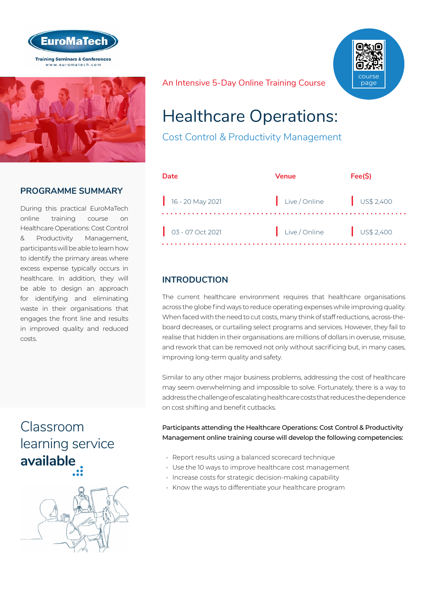



#### **PROGRAMME SUMMARY**

During this practical EuroMaTech online training course on Healthcare Operations: Cost Control & Productivity Management, participants will be able to learn how to identify the primary areas where excess expense typically occurs in healthcare. In addition, they will be able to design an approach for identifying and eliminating waste in their organisations that engages the front line and results in improved quality and reduced costs.

# Classroom [learning service](http://www.euromatech.com/seminars/healthcare-operations/)  **available**



An Intensive 5-Day Online Training Course



# Healthcare Operations:

Cost Control & Productivity Management

| Date                                      | Venue                  | Fee(S)    |
|-------------------------------------------|------------------------|-----------|
| $16 - 20$ May 2021                        | Live / Online          | US\$2,400 |
| $\bigcup_{x=1}^{\infty}$ 03 - 07 Oct 2021 | Live/Online US\$ 2,400 |           |

## **INTRODUCTION**

The current healthcare environment requires that healthcare organisations across the globe find ways to reduce operating expenses while improving quality. When faced with the need to cut costs, many think of staff reductions, across-theboard decreases, or curtailing select programs and services. However, they fail to realise that hidden in their organisations are millions of dollars in overuse, misuse, and rework that can be removed not only without sacrificing but, in many cases, improving long-term quality and safety.

Similar to any other major business problems, addressing the cost of healthcare may seem overwhelming and impossible to solve. Fortunately, there is a way to address the challenge of escalating healthcare costs that reduces the dependence on cost shifting and benefit cutbacks.

Participants attending the Healthcare Operations: Cost Control & Productivity Management online training course will develop the following competencies:

- Report results using a balanced scorecard technique
- Use the 10 ways to improve healthcare cost management
- Increase costs for strategic decision-making capability
- Know the ways to differentiate your healthcare program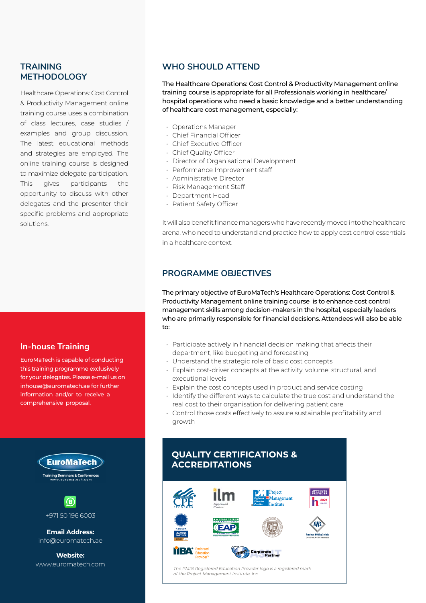#### **TRAINING METHODOLOGY**

Healthcare Operations: Cost Control & Productivity Management online training course uses a combination of class lectures, case studies / examples and group discussion. The latest educational methods and strategies are employed. The online training course is designed to maximize delegate participation. This gives participants the opportunity to discuss with other delegates and the presenter their specific problems and appropriate solutions.

#### **In-house Training**

EuroMaTech is capable of conducting this training programme exclusively for your delegates. Please e-mail us on inhouse@euromatech.ae for further information and/or to receive a comprehensive proposal.



**Training Seminars & Conferences** 



+971 50 196 6003

**Email Address:** info@euromatech.ae

**Website:** www.euromatech.com

#### **WHO SHOULD ATTEND**

The Healthcare Operations: Cost Control & Productivity Management online training course is appropriate for all Professionals working in healthcare/ hospital operations who need a basic knowledge and a better understanding of healthcare cost management, especially:

- Operations Manager
- Chief Financial Officer
- Chief Executive Officer
- Chief Quality Officer
- Director of Organisational Development
- Performance Improvement staff
- Administrative Director
- Risk Management Staff
- Department Head
- Patient Safety Officer

It will also benefit finance managers who have recently moved into the healthcare arena, who need to understand and practice how to apply cost control essentials in a healthcare context.

#### **PROGRAMME OBJECTIVES**

The primary objective of EuroMaTech's Healthcare Operations: Cost Control & Productivity Management online training course is to enhance cost control management skills among decision-makers in the hospital, especially leaders who are primarily responsible for financial decisions. Attendees will also be able to:

- Participate actively in financial decision making that affects their department, like budgeting and forecasting
- Understand the strategic role of basic cost concepts
- Explain cost-driver concepts at the activity, volume, structural, and executional levels
- Explain the cost concepts used in product and service costing
- Identify the different ways to calculate the true cost and understand the real cost to their organisation for delivering patient care
- Control those costs effectively to assure sustainable profitability and growth

#### **QUALITY CERTIFICATIONS & ACCREDITATIONS**



The PMI® Registered Education Provider logo is a registered mark of the Project Management Institute, Inc.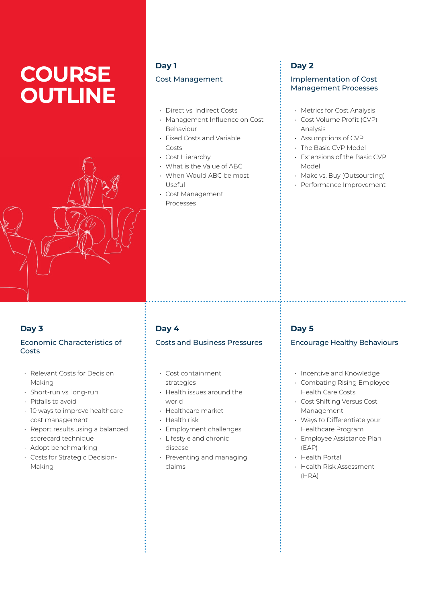# **COURSE OUTLINE**



# **Day 1**

#### Cost Management

- Direct vs. Indirect Costs
- Management Influence on Cost Behaviour
- Fixed Costs and Variable Costs
- Cost Hierarchy
- What is the Value of ABC
- When Would ABC be most Useful
- Cost Management Processes

# **Day 2**

#### Implementation of Cost Management Processes

- Metrics for Cost Analysis
- Cost Volume Profit (CVP) Analysis
- Assumptions of CVP
- The Basic CVP Model
- Extensions of the Basic CVP Model
- Make vs. Buy (Outsourcing)
- Performance Improvement

## **Day 3**

#### Economic Characteristics of Costs

- Relevant Costs for Decision Making
- Short-run vs. long-run
- Pitfalls to avoid
- 10 ways to improve healthcare cost management
- Report results using a balanced scorecard technique
- Adopt benchmarking
- Costs for Strategic Decision-Making

#### **Day 4**

#### Costs and Business Pressures

- Cost containment strategies
- Health issues around the world
- Healthcare market
- Health risk
- Employment challenges
- Lifestyle and chronic disease
- Preventing and managing claims

#### **Day 5**

#### Encourage Healthy Behaviours

- Incentive and Knowledge
- Combating Rising Employee Health Care Costs
- Cost Shifting Versus Cost Management
- Ways to Differentiate your Healthcare Program
- Employee Assistance Plan (EAP)
- Health Portal
- Health Risk Assessment (HRA)